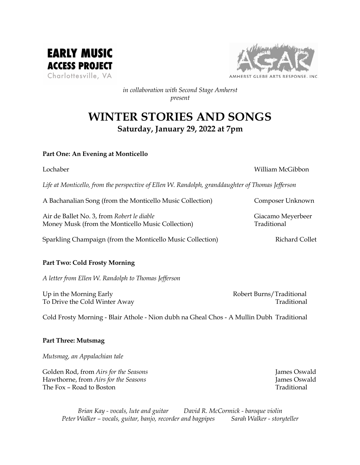



*in collaboration with Second Stage Amherst present*

# **WINTER STORIES AND SONGS Saturday, January 29, 2022 at 7pm**

# **Part One: An Evening at Monticello**

## Lochaber William McGibbon

*Life at Monticello, from the perspective of Ellen W. Randolph, granddaughter of Thomas Jefferson*

A Bachanalian Song (from the Monticello Music Collection) Composer Unknown Air de Ballet No. 3, from *Robert le diable* Giacamo Meyerbeer Money Musk (from the Monticello Music Collection) Traditional

Sparkling Champaign (from the Monticello Music Collection) Richard Collet

# **Part Two: Cold Frosty Morning**

*A letter from Ellen W. Randolph to Thomas Jefferson*

Up in the Morning Early **Robert Burns/Traditional** To Drive the Cold Winter Away Traditional Traditional

Cold Frosty Morning - Blair Athole - Nion dubh na Gheal Chos - A Mullin Dubh Traditional

# **Part Three: Mutsmag**

*Mutsmag, an Appalachian tale*

Golden Rod, from *Airs for the Seasons* **James Oswald** James Oswald Hawthorne, from *Airs for the Seasons* James Oswald The Fox – Road to Boston Traditional Traditional Traditional Traditional Traditional Traditional Traditional Traditional Traditional Traditional Traditional Traditional Traditional Traditional Traditional Traditional Tradi

*Brian Kay - vocals, lute and guitar David R. McCormick - baroque violin Peter Walker – vocals, guitar, banjo, recorder and bagpipes Sarah Walker - storyteller*